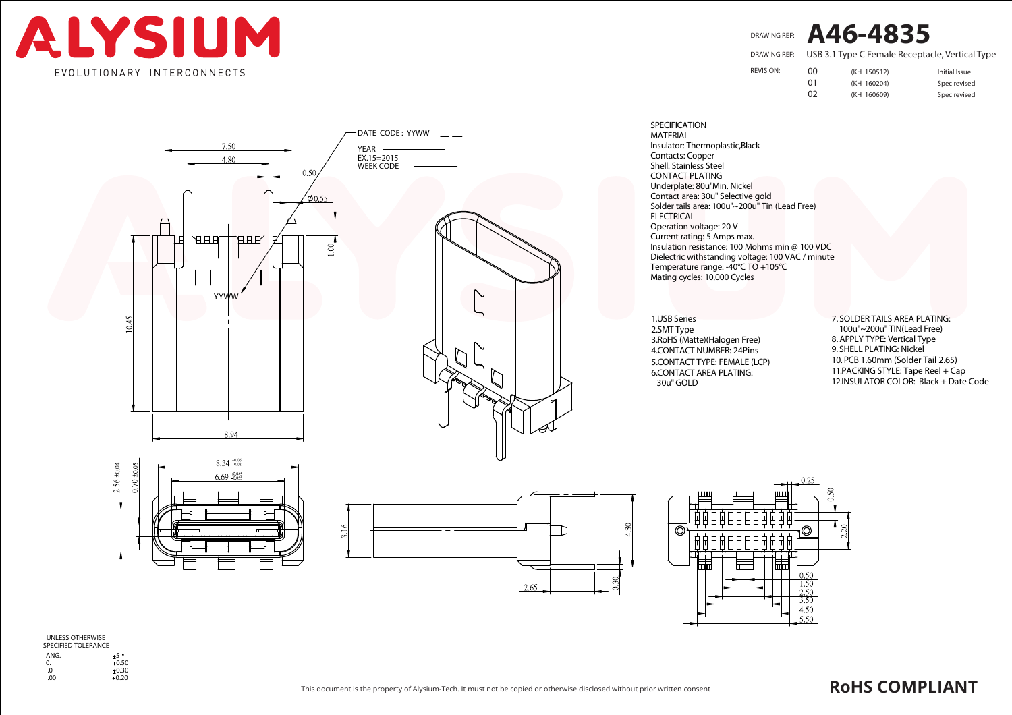

DRAWING REF: **A46-4835**

USB 3.1 Type C Female Receptacle, Vertical Type DRAWING REF:

REVISION:

00 (KH 150512) Initial Issue 01 (KH 160204) Spec revised 02 (KH 160609) Spec revised



CONTACT PLATING Underplate: 80u"Min. Nickel Contact area: 30u" Selective gold Solder tails area: 100u"~200u" Tin (Lead Free) ELECTRICAL Operation voltage: 20 V Current rating: 5 Amps max. Insulation resistance: 100 Mohms min @ 100 VDC Dielectric withstanding voltage: 100 VAC / minute Mating cycles: 10,000 Cycles Temperature range: -40°C TO +105°C MATERIAL Insulator: Thermoplastic,Black Contacts: Copper Shell: Stainless Steel

1.USB Series 2.SMT Type 3.RoHS (Matte)(Halogen Free) 4.CONTACT NUMBER: 24Pins 5.CONTACT TYPE: FEMALE (LCP) 6.CONTACT AREA PLATING: 30u" GOLD

SPECIFICATION

7. SOLDER TAILS AREA PLATING: 100u"~200u" TIN(Lead Free) 8. APPLY TYPE: Vertical Type 9. SHELL PLATING: Nickel 10. PCB 1.60mm (Solder Tail 2.65) 11.PACKING STYLE: Tape Reel + Cap 12.INSULATOR COLOR: Black + Date Code







UNLESS OTHERWISE SPECIFIED TOLERANCE

ANG.<br>0.  $\frac{+5}{+0.50}$ .0 0.30 .00 0.20